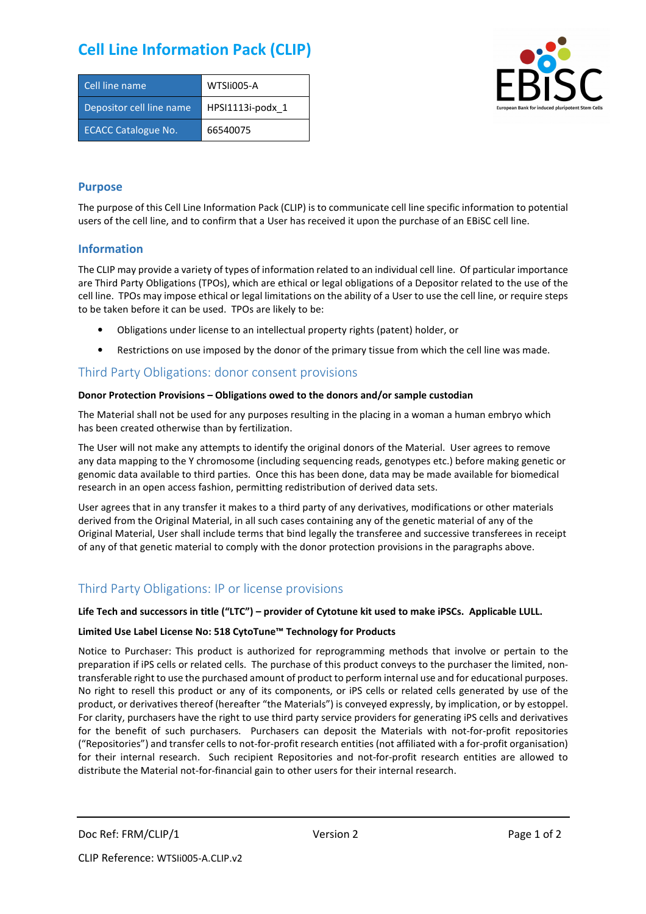# **Cell Line Information Pack (CLIP)**

| Cell line name             | WTSIi005-A       |
|----------------------------|------------------|
| Depositor cell line name   | HPSI1113i-podx 1 |
| <b>ECACC Catalogue No.</b> | 66540075         |



### **Purpose**

The purpose of this Cell Line Information Pack (CLIP) is to communicate cell line specific information to potential users of the cell line, and to confirm that a User has received it upon the purchase of an EBiSC cell line.

#### **Information**

The CLIP may provide a variety of types of information related to an individual cell line. Of particular importance are Third Party Obligations (TPOs), which are ethical or legal obligations of a Depositor related to the use of the cell line. TPOs may impose ethical or legal limitations on the ability of a User to use the cell line, or require steps to be taken before it can be used. TPOs are likely to be:

- Obligations under license to an intellectual property rights (patent) holder, or
- Restrictions on use imposed by the donor of the primary tissue from which the cell line was made.

## Third Party Obligations: donor consent provisions

#### **Donor Protection Provisions – Obligations owed to the donors and/or sample custodian**

The Material shall not be used for any purposes resulting in the placing in a woman a human embryo which has been created otherwise than by fertilization.

The User will not make any attempts to identify the original donors of the Material. User agrees to remove any data mapping to the Y chromosome (including sequencing reads, genotypes etc.) before making genetic or genomic data available to third parties. Once this has been done, data may be made available for biomedical research in an open access fashion, permitting redistribution of derived data sets.

User agrees that in any transfer it makes to a third party of any derivatives, modifications or other materials derived from the Original Material, in all such cases containing any of the genetic material of any of the Original Material, User shall include terms that bind legally the transferee and successive transferees in receipt of any of that genetic material to comply with the donor protection provisions in the paragraphs above.

## Third Party Obligations: IP or license provisions

#### **Life Tech and successors in title ("LTC") – provider of Cytotune kit used to make iPSCs. Applicable LULL.**

#### **Limited Use Label License No: 518 CytoTune™ Technology for Products**

Notice to Purchaser: This product is authorized for reprogramming methods that involve or pertain to the preparation if iPS cells or related cells. The purchase of this product conveys to the purchaser the limited, nontransferable right to use the purchased amount of product to perform internal use and for educational purposes. No right to resell this product or any of its components, or iPS cells or related cells generated by use of the product, or derivatives thereof (hereafter "the Materials") is conveyed expressly, by implication, or by estoppel. For clarity, purchasers have the right to use third party service providers for generating iPS cells and derivatives for the benefit of such purchasers. Purchasers can deposit the Materials with not-for-profit repositories ("Repositories") and transfer cells to not-for-profit research entities (not affiliated with a for-profit organisation) for their internal research. Such recipient Repositories and not-for-profit research entities are allowed to distribute the Material not-for-financial gain to other users for their internal research.

Doc Ref: FRM/CLIP/1 Version 2 Version 2 Page 1 of 2